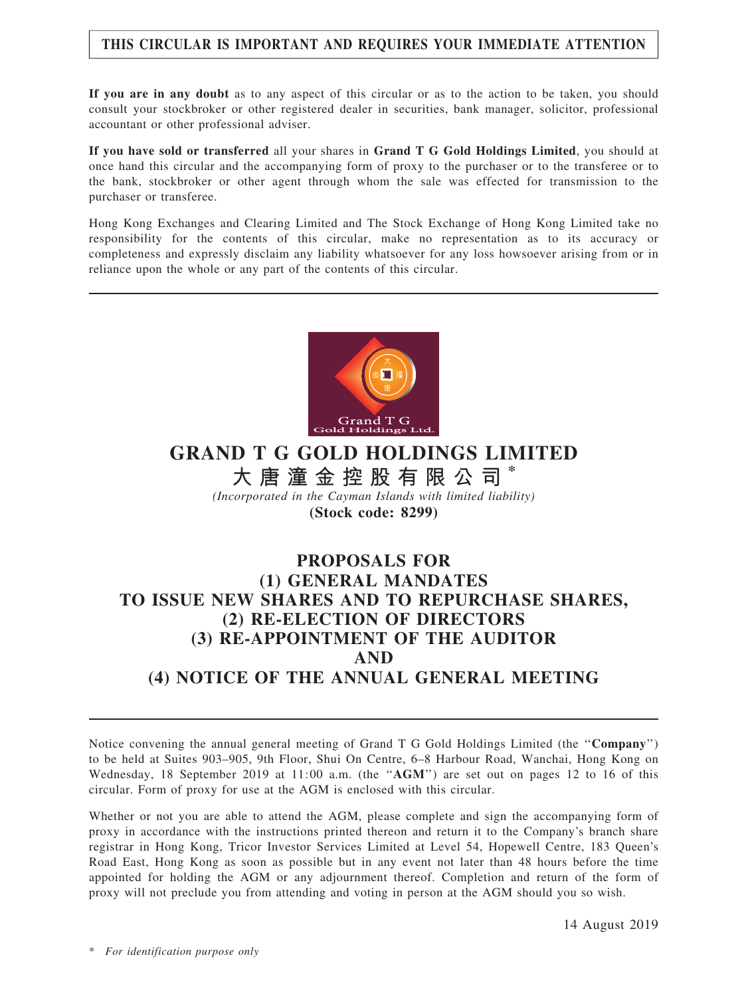## THIS CIRCULAR IS IMPORTANT AND REQUIRES YOUR IMMEDIATE ATTENTION

If you are in any doubt as to any aspect of this circular or as to the action to be taken, you should consult your stockbroker or other registered dealer in securities, bank manager, solicitor, professional accountant or other professional adviser.

If you have sold or transferred all your shares in Grand T G Gold Holdings Limited, you should at once hand this circular and the accompanying form of proxy to the purchaser or to the transferee or to the bank, stockbroker or other agent through whom the sale was effected for transmission to the purchaser or transferee.

Hong Kong Exchanges and Clearing Limited and The Stock Exchange of Hong Kong Limited take no responsibility for the contents of this circular, make no representation as to its accuracy or completeness and expressly disclaim any liability whatsoever for any loss howsoever arising from or in reliance upon the whole or any part of the contents of this circular.



GRAND T G GOLD HOLDINGS LIMITED 大 唐 潼 金 控 股 有 限 公 司 \* (Incorporated in the Cayman Islands with limited liability) (Stock code: 8299)

## PROPOSALS FOR (1) GENERAL MANDATES TO ISSUE NEW SHARES AND TO REPURCHASE SHARES, (2) RE-ELECTION OF DIRECTORS (3) RE-APPOINTMENT OF THE AUDITOR AND (4) NOTICE OF THE ANNUAL GENERAL MEETING

Notice convening the annual general meeting of Grand T G Gold Holdings Limited (the ''Company'') to be held at Suites 903–905, 9th Floor, Shui On Centre, 6–8 Harbour Road, Wanchai, Hong Kong on Wednesday, 18 September 2019 at 11:00 a.m. (the "AGM") are set out on pages 12 to 16 of this circular. Form of proxy for use at the AGM is enclosed with this circular.

Whether or not you are able to attend the AGM, please complete and sign the accompanying form of proxy in accordance with the instructions printed thereon and return it to the Company's branch share registrar in Hong Kong, Tricor Investor Services Limited at Level 54, Hopewell Centre, 183 Queen's Road East, Hong Kong as soon as possible but in any event not later than 48 hours before the time appointed for holding the AGM or any adjournment thereof. Completion and return of the form of proxy will not preclude you from attending and voting in person at the AGM should you so wish.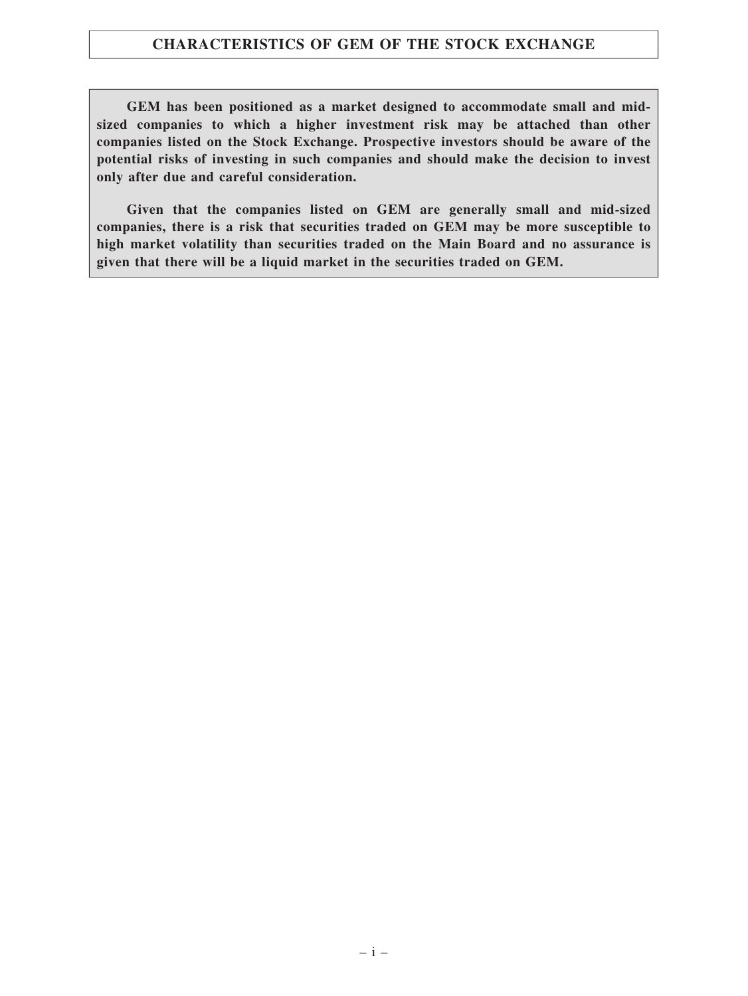## CHARACTERISTICS OF GEM OF THE STOCK EXCHANGE

GEM has been positioned as a market designed to accommodate small and midsized companies to which a higher investment risk may be attached than other companies listed on the Stock Exchange. Prospective investors should be aware of the potential risks of investing in such companies and should make the decision to invest only after due and careful consideration.

Given that the companies listed on GEM are generally small and mid-sized companies, there is a risk that securities traded on GEM may be more susceptible to high market volatility than securities traded on the Main Board and no assurance is given that there will be a liquid market in the securities traded on GEM.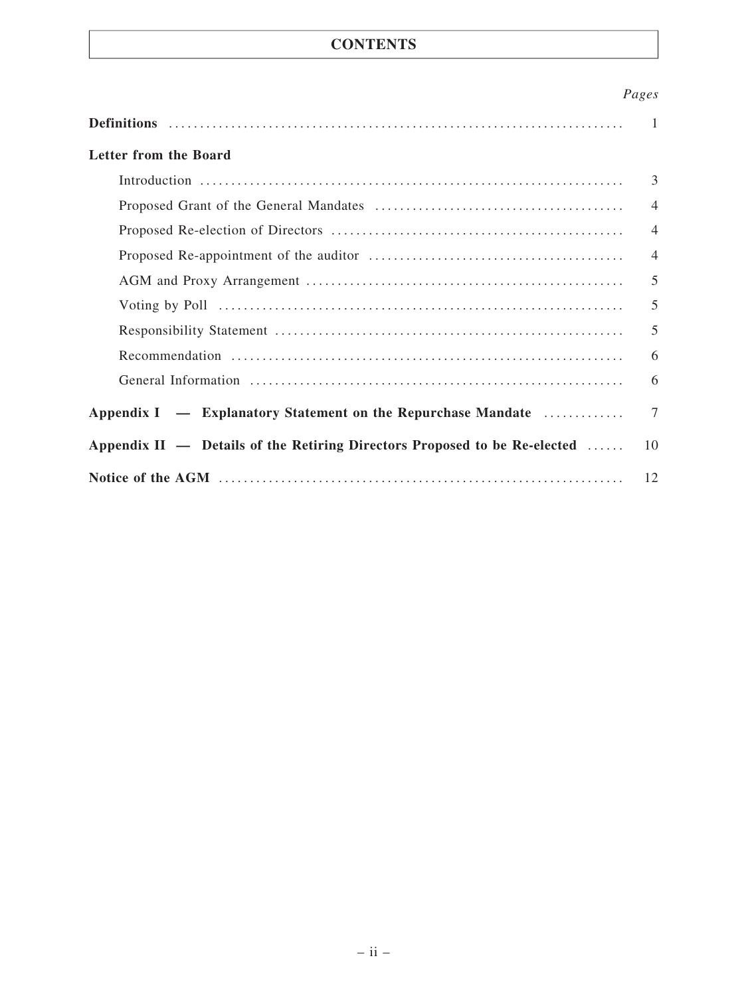## **CONTENTS**

## Pages

|                                                                           | $\mathbf{1}$   |
|---------------------------------------------------------------------------|----------------|
| Letter from the Board                                                     |                |
|                                                                           | 3              |
|                                                                           | $\overline{4}$ |
|                                                                           | $\overline{4}$ |
|                                                                           | $\overline{4}$ |
|                                                                           | 5              |
|                                                                           | 5              |
|                                                                           | 5              |
|                                                                           | 6              |
|                                                                           | 6              |
| Appendix I — Explanatory Statement on the Repurchase Mandate              | $\tau$         |
| Appendix II — Details of the Retiring Directors Proposed to be Re-elected | 10             |
|                                                                           | 12             |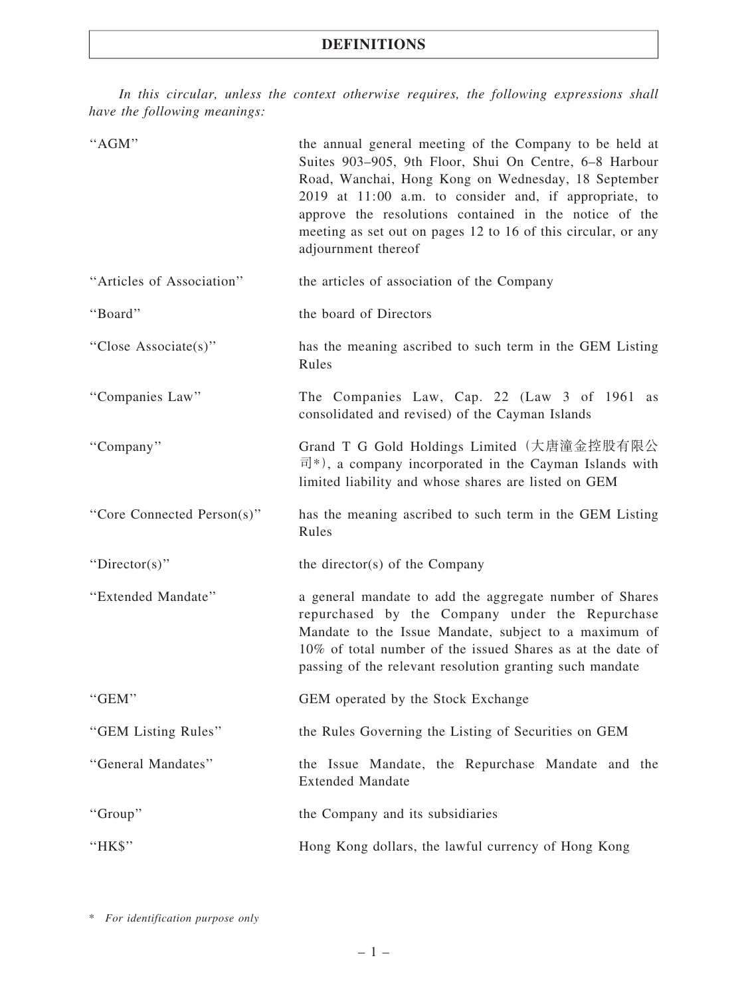In this circular, unless the context otherwise requires, the following expressions shall have the following meanings:

| "AGM"                      | the annual general meeting of the Company to be held at<br>Suites 903-905, 9th Floor, Shui On Centre, 6-8 Harbour<br>Road, Wanchai, Hong Kong on Wednesday, 18 September<br>2019 at 11:00 a.m. to consider and, if appropriate, to<br>approve the resolutions contained in the notice of the<br>meeting as set out on pages 12 to 16 of this circular, or any<br>adjournment thereof |  |
|----------------------------|--------------------------------------------------------------------------------------------------------------------------------------------------------------------------------------------------------------------------------------------------------------------------------------------------------------------------------------------------------------------------------------|--|
| "Articles of Association"  | the articles of association of the Company                                                                                                                                                                                                                                                                                                                                           |  |
| "Board"                    | the board of Directors                                                                                                                                                                                                                                                                                                                                                               |  |
| "Close Associate(s)"       | has the meaning ascribed to such term in the GEM Listing<br>Rules                                                                                                                                                                                                                                                                                                                    |  |
| "Companies Law"            | The Companies Law, Cap. 22 (Law 3 of 1961 as<br>consolidated and revised) of the Cayman Islands                                                                                                                                                                                                                                                                                      |  |
| "Company"                  | Grand T G Gold Holdings Limited (大唐潼金控股有限公<br>$\vec{E}$ <sup>*</sup> ), a company incorporated in the Cayman Islands with<br>limited liability and whose shares are listed on GEM                                                                                                                                                                                                    |  |
| "Core Connected Person(s)" | has the meaning ascribed to such term in the GEM Listing<br>Rules                                                                                                                                                                                                                                                                                                                    |  |
| " $Directory$ "            | the director(s) of the Company                                                                                                                                                                                                                                                                                                                                                       |  |
| "Extended Mandate"         | a general mandate to add the aggregate number of Shares<br>repurchased by the Company under the Repurchase<br>Mandate to the Issue Mandate, subject to a maximum of<br>10% of total number of the issued Shares as at the date of<br>passing of the relevant resolution granting such mandate                                                                                        |  |
| "GEM"                      | GEM operated by the Stock Exchange                                                                                                                                                                                                                                                                                                                                                   |  |
| "GEM Listing Rules"        | the Rules Governing the Listing of Securities on GEM                                                                                                                                                                                                                                                                                                                                 |  |
| "General Mandates"         | the Issue Mandate, the Repurchase Mandate and the<br><b>Extended Mandate</b>                                                                                                                                                                                                                                                                                                         |  |
| "Group"                    | the Company and its subsidiaries                                                                                                                                                                                                                                                                                                                                                     |  |
| "HK\$"                     | Hong Kong dollars, the lawful currency of Hong Kong                                                                                                                                                                                                                                                                                                                                  |  |

\* For identification purpose only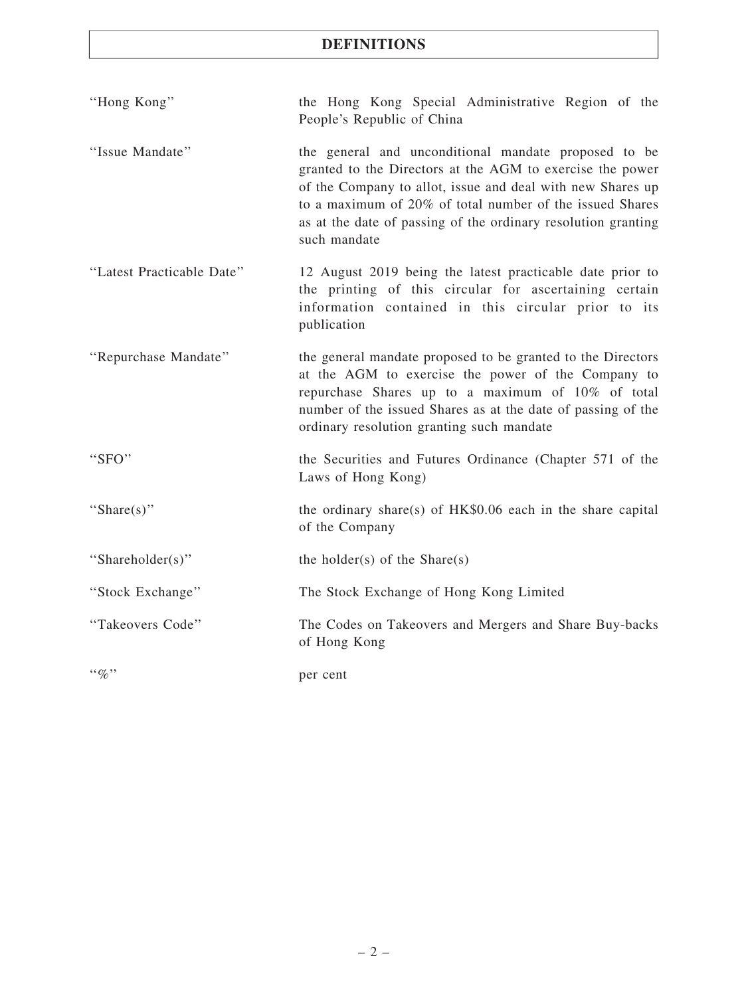## DEFINITIONS

| "Hong Kong"                   | the Hong Kong Special Administrative Region of the<br>People's Republic of China                                                                                                                                                                                                                                             |
|-------------------------------|------------------------------------------------------------------------------------------------------------------------------------------------------------------------------------------------------------------------------------------------------------------------------------------------------------------------------|
| "Issue Mandate"               | the general and unconditional mandate proposed to be<br>granted to the Directors at the AGM to exercise the power<br>of the Company to allot, issue and deal with new Shares up<br>to a maximum of 20% of total number of the issued Shares<br>as at the date of passing of the ordinary resolution granting<br>such mandate |
| "Latest Practicable Date"     | 12 August 2019 being the latest practicable date prior to<br>the printing of this circular for ascertaining certain<br>information contained in this circular prior to its<br>publication                                                                                                                                    |
| "Repurchase Mandate"          | the general mandate proposed to be granted to the Directors<br>at the AGM to exercise the power of the Company to<br>repurchase Shares up to a maximum of 10% of total<br>number of the issued Shares as at the date of passing of the<br>ordinary resolution granting such mandate                                          |
| "SFO"                         | the Securities and Futures Ordinance (Chapter 571 of the<br>Laws of Hong Kong)                                                                                                                                                                                                                                               |
| "Share $(s)$ "                | the ordinary share(s) of $HK$0.06$ each in the share capital<br>of the Company                                                                                                                                                                                                                                               |
| "Shareholder(s)"              | the holder(s) of the $Share(s)$                                                                                                                                                                                                                                                                                              |
| "Stock Exchange"              | The Stock Exchange of Hong Kong Limited                                                                                                                                                                                                                                                                                      |
| "Takeovers Code"              | The Codes on Takeovers and Mergers and Share Buy-backs<br>of Hong Kong                                                                                                                                                                                                                                                       |
| $\cdot \cdot \mathcal{Q}_0$ " | per cent                                                                                                                                                                                                                                                                                                                     |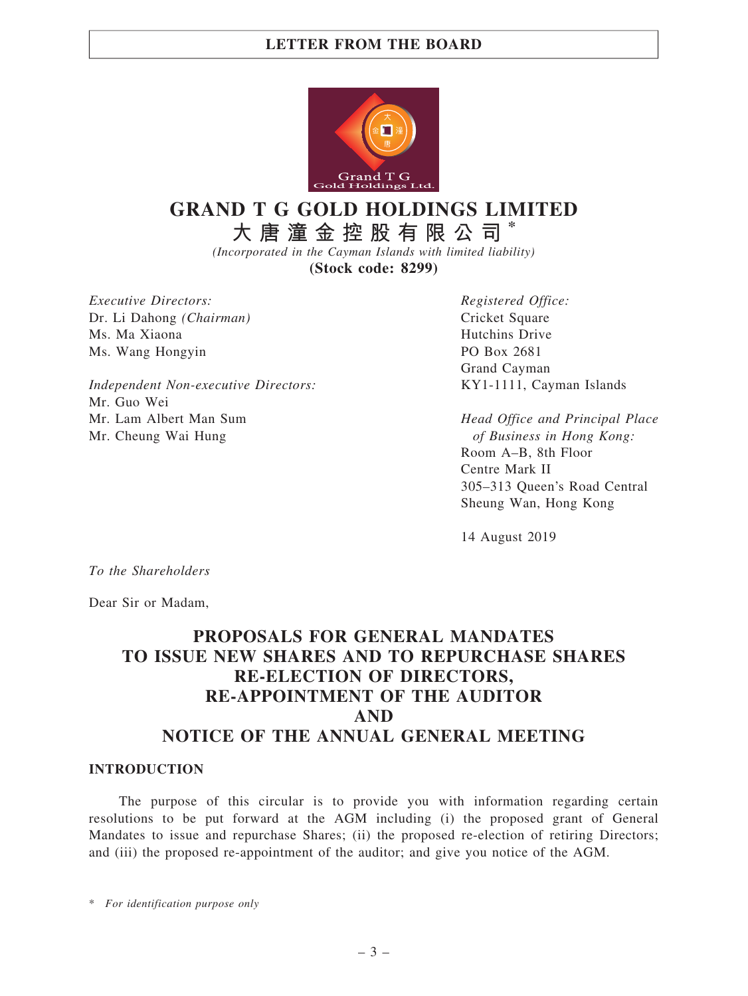

# GRAND T G GOLD HOLDINGS LIMITED

大 唐 潼 金 控 股 有 限 公 司 \*

(Incorporated in the Cayman Islands with limited liability)

(Stock code: 8299)

Executive Directors: Dr. Li Dahong (Chairman) Ms. Ma Xiaona Ms. Wang Hongyin

Independent Non-executive Directors: Mr. Guo Wei Mr. Lam Albert Man Sum Mr. Cheung Wai Hung

Registered Office: Cricket Square Hutchins Drive PO Box 2681 Grand Cayman KY1-1111, Cayman Islands

Head Office and Principal Place of Business in Hong Kong: Room A–B, 8th Floor Centre Mark II 305–313 Queen's Road Central Sheung Wan, Hong Kong

14 August 2019

To the Shareholders

Dear Sir or Madam,

## PROPOSALS FOR GENERAL MANDATES TO ISSUE NEW SHARES AND TO REPURCHASE SHARES RE-ELECTION OF DIRECTORS, RE-APPOINTMENT OF THE AUDITOR AND NOTICE OF THE ANNUAL GENERAL MEETING

#### INTRODUCTION

The purpose of this circular is to provide you with information regarding certain resolutions to be put forward at the AGM including (i) the proposed grant of General Mandates to issue and repurchase Shares; (ii) the proposed re-election of retiring Directors; and (iii) the proposed re-appointment of the auditor; and give you notice of the AGM.

\* For identification purpose only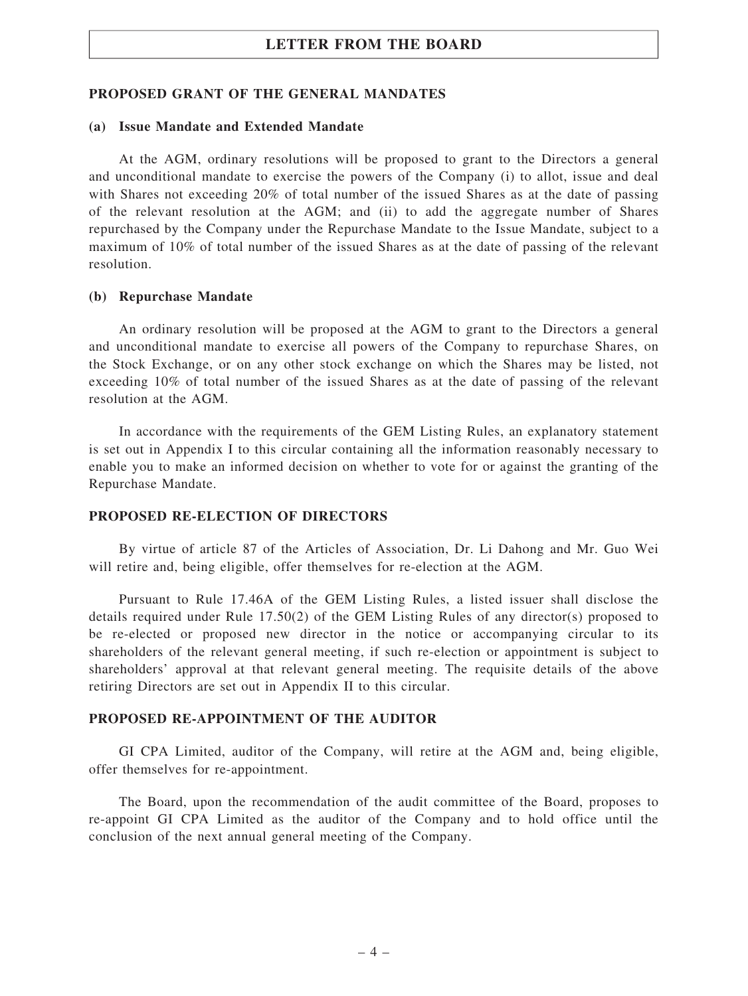#### PROPOSED GRANT OF THE GENERAL MANDATES

#### (a) Issue Mandate and Extended Mandate

At the AGM, ordinary resolutions will be proposed to grant to the Directors a general and unconditional mandate to exercise the powers of the Company (i) to allot, issue and deal with Shares not exceeding 20% of total number of the issued Shares as at the date of passing of the relevant resolution at the AGM; and (ii) to add the aggregate number of Shares repurchased by the Company under the Repurchase Mandate to the Issue Mandate, subject to a maximum of 10% of total number of the issued Shares as at the date of passing of the relevant resolution.

#### (b) Repurchase Mandate

An ordinary resolution will be proposed at the AGM to grant to the Directors a general and unconditional mandate to exercise all powers of the Company to repurchase Shares, on the Stock Exchange, or on any other stock exchange on which the Shares may be listed, not exceeding 10% of total number of the issued Shares as at the date of passing of the relevant resolution at the AGM.

In accordance with the requirements of the GEM Listing Rules, an explanatory statement is set out in Appendix I to this circular containing all the information reasonably necessary to enable you to make an informed decision on whether to vote for or against the granting of the Repurchase Mandate.

#### PROPOSED RE-ELECTION OF DIRECTORS

By virtue of article 87 of the Articles of Association, Dr. Li Dahong and Mr. Guo Wei will retire and, being eligible, offer themselves for re-election at the AGM.

Pursuant to Rule 17.46A of the GEM Listing Rules, a listed issuer shall disclose the details required under Rule 17.50(2) of the GEM Listing Rules of any director(s) proposed to be re-elected or proposed new director in the notice or accompanying circular to its shareholders of the relevant general meeting, if such re-election or appointment is subject to shareholders' approval at that relevant general meeting. The requisite details of the above retiring Directors are set out in Appendix II to this circular.

#### PROPOSED RE-APPOINTMENT OF THE AUDITOR

GI CPA Limited, auditor of the Company, will retire at the AGM and, being eligible, offer themselves for re-appointment.

The Board, upon the recommendation of the audit committee of the Board, proposes to re-appoint GI CPA Limited as the auditor of the Company and to hold office until the conclusion of the next annual general meeting of the Company.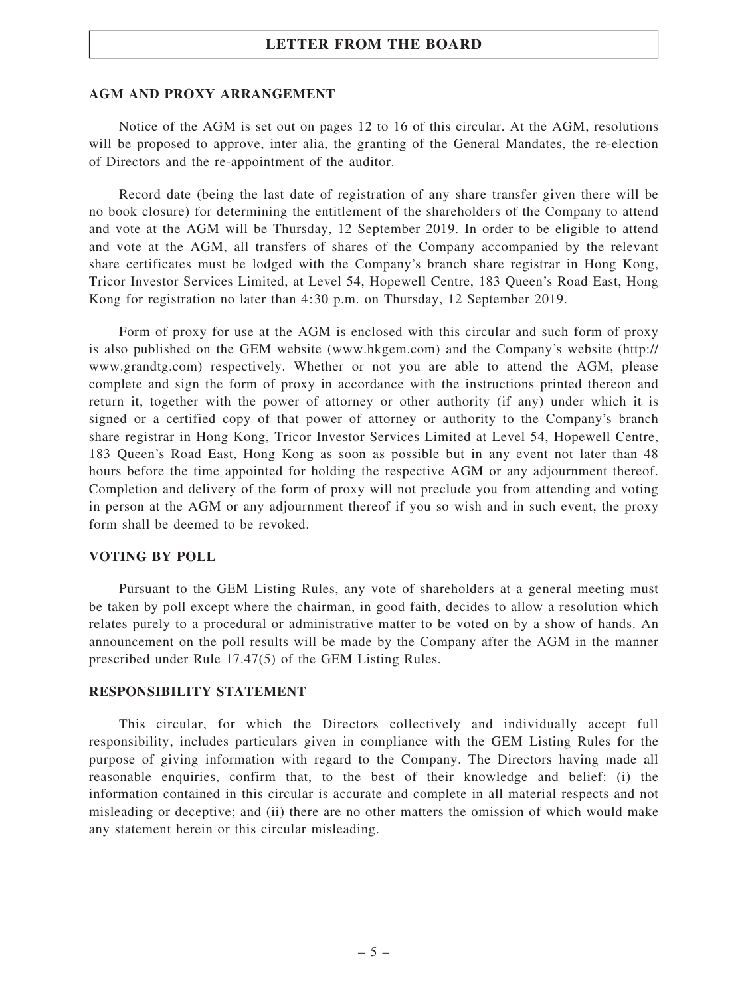#### AGM AND PROXY ARRANGEMENT

Notice of the AGM is set out on pages 12 to 16 of this circular. At the AGM, resolutions will be proposed to approve, inter alia, the granting of the General Mandates, the re-election of Directors and the re-appointment of the auditor.

Record date (being the last date of registration of any share transfer given there will be no book closure) for determining the entitlement of the shareholders of the Company to attend and vote at the AGM will be Thursday, 12 September 2019. In order to be eligible to attend and vote at the AGM, all transfers of shares of the Company accompanied by the relevant share certificates must be lodged with the Company's branch share registrar in Hong Kong, Tricor Investor Services Limited, at Level 54, Hopewell Centre, 183 Queen's Road East, Hong Kong for registration no later than 4:30 p.m. on Thursday, 12 September 2019.

Form of proxy for use at the AGM is enclosed with this circular and such form of proxy is also published on the GEM website (www.hkgem.com) and the Company's website (http:// www.grandtg.com) respectively. Whether or not you are able to attend the AGM, please complete and sign the form of proxy in accordance with the instructions printed thereon and return it, together with the power of attorney or other authority (if any) under which it is signed or a certified copy of that power of attorney or authority to the Company's branch share registrar in Hong Kong, Tricor Investor Services Limited at Level 54, Hopewell Centre, 183 Queen's Road East, Hong Kong as soon as possible but in any event not later than 48 hours before the time appointed for holding the respective AGM or any adjournment thereof. Completion and delivery of the form of proxy will not preclude you from attending and voting in person at the AGM or any adjournment thereof if you so wish and in such event, the proxy form shall be deemed to be revoked.

#### VOTING BY POLL

Pursuant to the GEM Listing Rules, any vote of shareholders at a general meeting must be taken by poll except where the chairman, in good faith, decides to allow a resolution which relates purely to a procedural or administrative matter to be voted on by a show of hands. An announcement on the poll results will be made by the Company after the AGM in the manner prescribed under Rule 17.47(5) of the GEM Listing Rules.

#### RESPONSIBILITY STATEMENT

This circular, for which the Directors collectively and individually accept full responsibility, includes particulars given in compliance with the GEM Listing Rules for the purpose of giving information with regard to the Company. The Directors having made all reasonable enquiries, confirm that, to the best of their knowledge and belief: (i) the information contained in this circular is accurate and complete in all material respects and not misleading or deceptive; and (ii) there are no other matters the omission of which would make any statement herein or this circular misleading.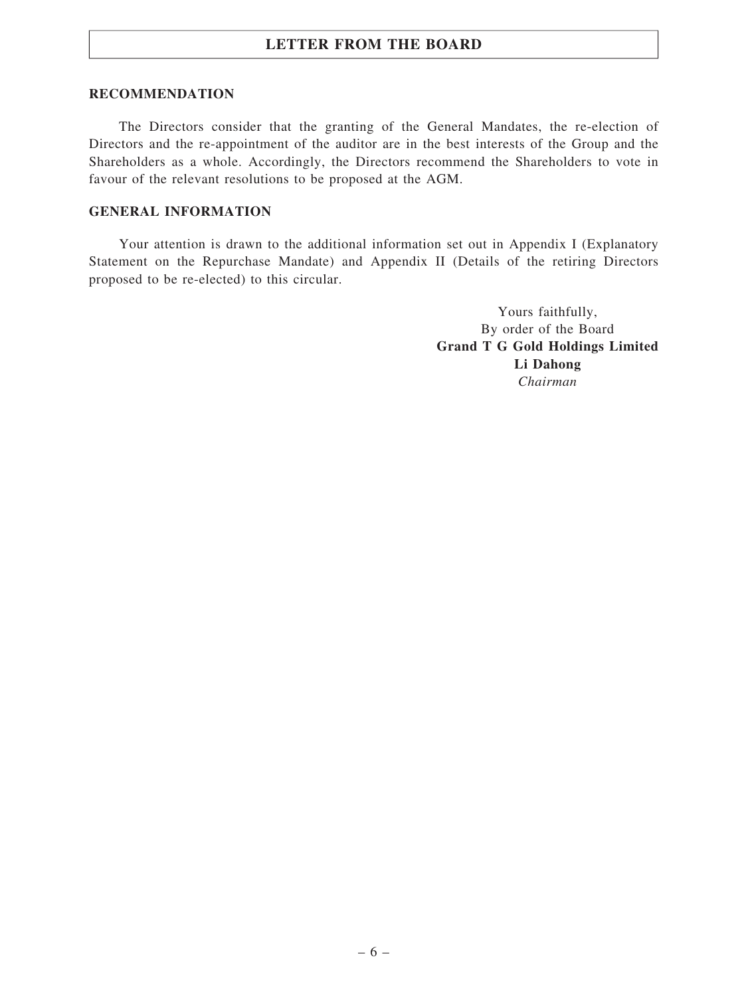#### RECOMMENDATION

The Directors consider that the granting of the General Mandates, the re-election of Directors and the re-appointment of the auditor are in the best interests of the Group and the Shareholders as a whole. Accordingly, the Directors recommend the Shareholders to vote in favour of the relevant resolutions to be proposed at the AGM.

#### GENERAL INFORMATION

Your attention is drawn to the additional information set out in Appendix I (Explanatory Statement on the Repurchase Mandate) and Appendix II (Details of the retiring Directors proposed to be re-elected) to this circular.

> Yours faithfully, By order of the Board Grand T G Gold Holdings Limited Li Dahong Chairman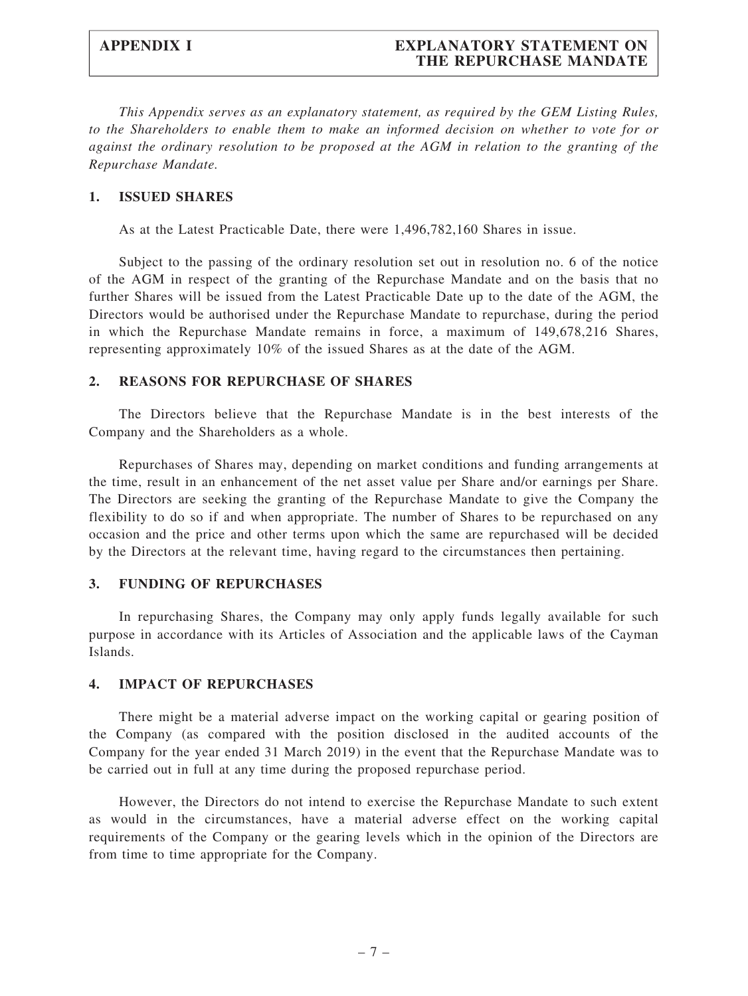## APPENDIX I EXPLANATORY STATEMENT ON THE REPURCHASE MANDATE

This Appendix serves as an explanatory statement, as required by the GEM Listing Rules, to the Shareholders to enable them to make an informed decision on whether to vote for or against the ordinary resolution to be proposed at the AGM in relation to the granting of the Repurchase Mandate.

#### 1. ISSUED SHARES

As at the Latest Practicable Date, there were 1,496,782,160 Shares in issue.

Subject to the passing of the ordinary resolution set out in resolution no. 6 of the notice of the AGM in respect of the granting of the Repurchase Mandate and on the basis that no further Shares will be issued from the Latest Practicable Date up to the date of the AGM, the Directors would be authorised under the Repurchase Mandate to repurchase, during the period in which the Repurchase Mandate remains in force, a maximum of 149,678,216 Shares, representing approximately 10% of the issued Shares as at the date of the AGM.

#### 2. REASONS FOR REPURCHASE OF SHARES

The Directors believe that the Repurchase Mandate is in the best interests of the Company and the Shareholders as a whole.

Repurchases of Shares may, depending on market conditions and funding arrangements at the time, result in an enhancement of the net asset value per Share and/or earnings per Share. The Directors are seeking the granting of the Repurchase Mandate to give the Company the flexibility to do so if and when appropriate. The number of Shares to be repurchased on any occasion and the price and other terms upon which the same are repurchased will be decided by the Directors at the relevant time, having regard to the circumstances then pertaining.

#### 3. FUNDING OF REPURCHASES

In repurchasing Shares, the Company may only apply funds legally available for such purpose in accordance with its Articles of Association and the applicable laws of the Cayman Islands.

#### 4. IMPACT OF REPURCHASES

There might be a material adverse impact on the working capital or gearing position of the Company (as compared with the position disclosed in the audited accounts of the Company for the year ended 31 March 2019) in the event that the Repurchase Mandate was to be carried out in full at any time during the proposed repurchase period.

However, the Directors do not intend to exercise the Repurchase Mandate to such extent as would in the circumstances, have a material adverse effect on the working capital requirements of the Company or the gearing levels which in the opinion of the Directors are from time to time appropriate for the Company.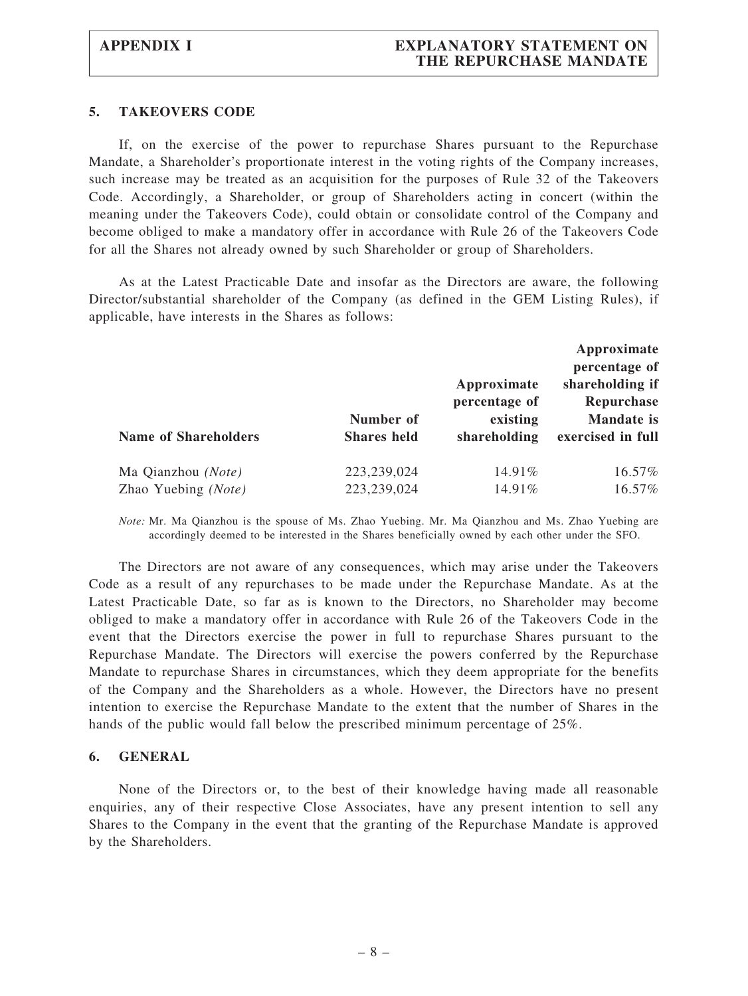#### 5. TAKEOVERS CODE

If, on the exercise of the power to repurchase Shares pursuant to the Repurchase Mandate, a Shareholder's proportionate interest in the voting rights of the Company increases, such increase may be treated as an acquisition for the purposes of Rule 32 of the Takeovers Code. Accordingly, a Shareholder, or group of Shareholders acting in concert (within the meaning under the Takeovers Code), could obtain or consolidate control of the Company and become obliged to make a mandatory offer in accordance with Rule 26 of the Takeovers Code for all the Shares not already owned by such Shareholder or group of Shareholders.

As at the Latest Practicable Date and insofar as the Directors are aware, the following Director/substantial shareholder of the Company (as defined in the GEM Listing Rules), if applicable, have interests in the Shares as follows:

|                             |                    |               | Approximate       |  |
|-----------------------------|--------------------|---------------|-------------------|--|
|                             |                    |               | percentage of     |  |
|                             |                    | Approximate   | shareholding if   |  |
|                             |                    | percentage of | Repurchase        |  |
|                             | Number of          | existing      | <b>Mandate</b> is |  |
| <b>Name of Shareholders</b> | <b>Shares</b> held | shareholding  | exercised in full |  |
| Ma Qianzhou (Note)          | 223,239,024        | 14.91%        | 16.57%            |  |
| Zhao Yuebing (Note)         | 223,239,024        | 14.91%        | 16.57%            |  |

Note: Mr. Ma Qianzhou is the spouse of Ms. Zhao Yuebing. Mr. Ma Qianzhou and Ms. Zhao Yuebing are accordingly deemed to be interested in the Shares beneficially owned by each other under the SFO.

The Directors are not aware of any consequences, which may arise under the Takeovers Code as a result of any repurchases to be made under the Repurchase Mandate. As at the Latest Practicable Date, so far as is known to the Directors, no Shareholder may become obliged to make a mandatory offer in accordance with Rule 26 of the Takeovers Code in the event that the Directors exercise the power in full to repurchase Shares pursuant to the Repurchase Mandate. The Directors will exercise the powers conferred by the Repurchase Mandate to repurchase Shares in circumstances, which they deem appropriate for the benefits of the Company and the Shareholders as a whole. However, the Directors have no present intention to exercise the Repurchase Mandate to the extent that the number of Shares in the hands of the public would fall below the prescribed minimum percentage of 25%.

#### 6. GENERAL

None of the Directors or, to the best of their knowledge having made all reasonable enquiries, any of their respective Close Associates, have any present intention to sell any Shares to the Company in the event that the granting of the Repurchase Mandate is approved by the Shareholders.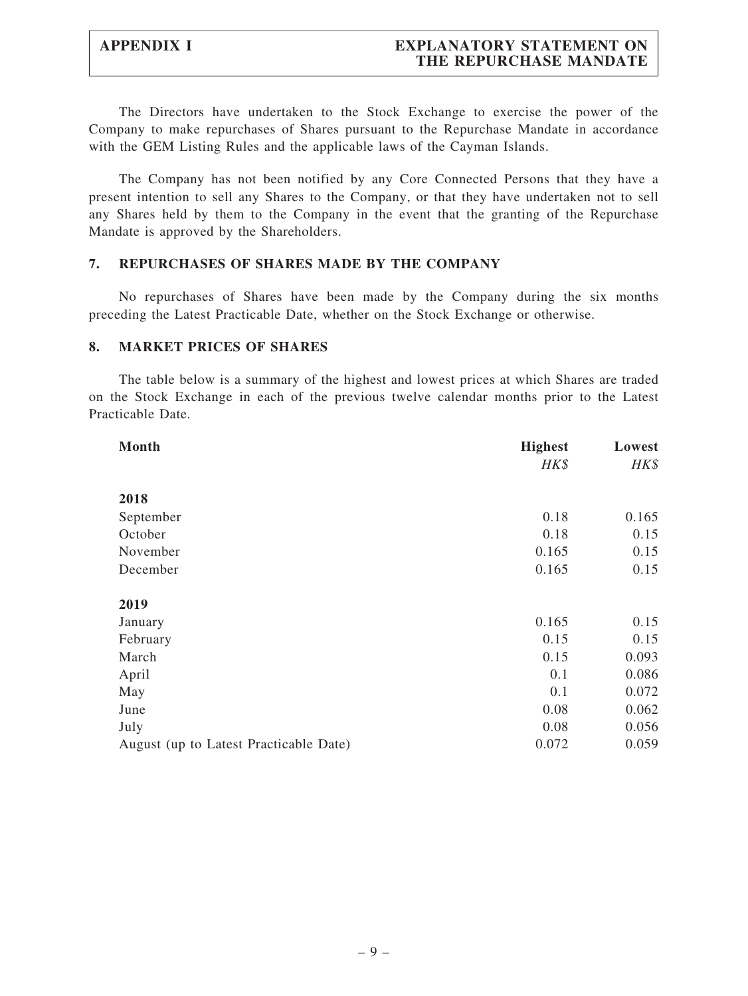## APPENDIX I EXPLANATORY STATEMENT ON THE REPURCHASE MANDATE

The Directors have undertaken to the Stock Exchange to exercise the power of the Company to make repurchases of Shares pursuant to the Repurchase Mandate in accordance with the GEM Listing Rules and the applicable laws of the Cayman Islands.

The Company has not been notified by any Core Connected Persons that they have a present intention to sell any Shares to the Company, or that they have undertaken not to sell any Shares held by them to the Company in the event that the granting of the Repurchase Mandate is approved by the Shareholders.

#### 7. REPURCHASES OF SHARES MADE BY THE COMPANY

No repurchases of Shares have been made by the Company during the six months preceding the Latest Practicable Date, whether on the Stock Exchange or otherwise.

#### 8. MARKET PRICES OF SHARES

The table below is a summary of the highest and lowest prices at which Shares are traded on the Stock Exchange in each of the previous twelve calendar months prior to the Latest Practicable Date.

| Month                                  | <b>Highest</b> | Lowest |
|----------------------------------------|----------------|--------|
|                                        | HK\$           | HK\$   |
| 2018                                   |                |        |
| September                              | 0.18           | 0.165  |
| October                                | 0.18           | 0.15   |
| November                               | 0.165          | 0.15   |
| December                               | 0.165          | 0.15   |
| 2019                                   |                |        |
| January                                | 0.165          | 0.15   |
| February                               | 0.15           | 0.15   |
| March                                  | 0.15           | 0.093  |
| April                                  | 0.1            | 0.086  |
| May                                    | 0.1            | 0.072  |
| June                                   | 0.08           | 0.062  |
| July                                   | 0.08           | 0.056  |
| August (up to Latest Practicable Date) | 0.072          | 0.059  |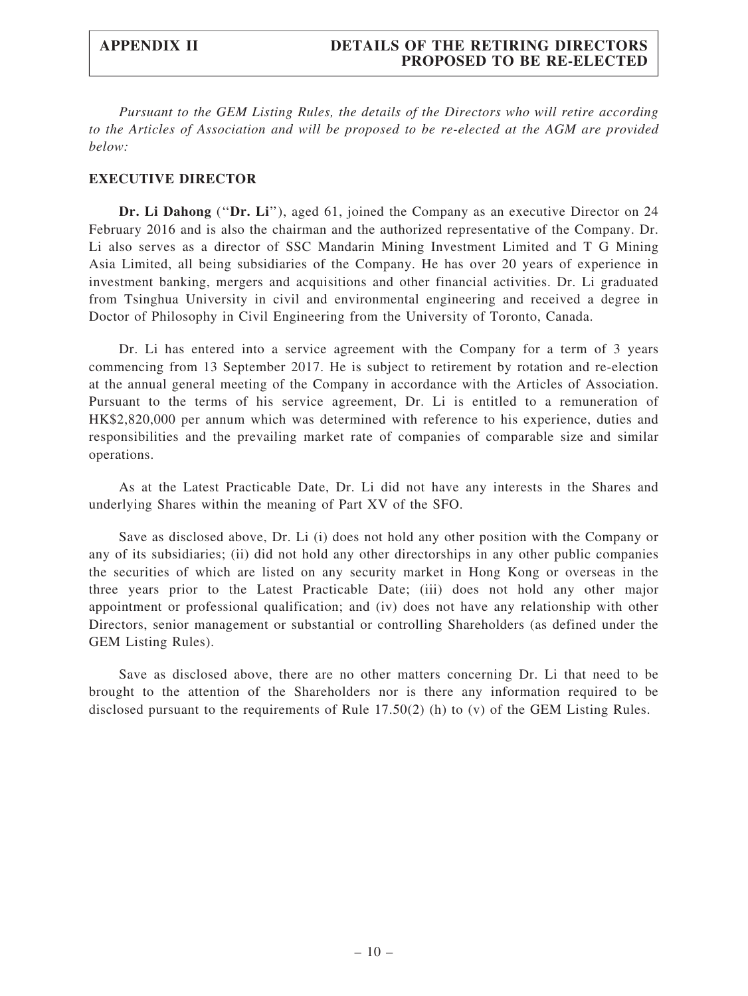Pursuant to the GEM Listing Rules, the details of the Directors who will retire according to the Articles of Association and will be proposed to be re-elected at the AGM are provided below:

#### EXECUTIVE DIRECTOR

Dr. Li Dahong ("Dr. Li"), aged 61, joined the Company as an executive Director on 24 February 2016 and is also the chairman and the authorized representative of the Company. Dr. Li also serves as a director of SSC Mandarin Mining Investment Limited and T G Mining Asia Limited, all being subsidiaries of the Company. He has over 20 years of experience in investment banking, mergers and acquisitions and other financial activities. Dr. Li graduated from Tsinghua University in civil and environmental engineering and received a degree in Doctor of Philosophy in Civil Engineering from the University of Toronto, Canada.

Dr. Li has entered into a service agreement with the Company for a term of 3 years commencing from 13 September 2017. He is subject to retirement by rotation and re-election at the annual general meeting of the Company in accordance with the Articles of Association. Pursuant to the terms of his service agreement, Dr. Li is entitled to a remuneration of HK\$2,820,000 per annum which was determined with reference to his experience, duties and responsibilities and the prevailing market rate of companies of comparable size and similar operations.

As at the Latest Practicable Date, Dr. Li did not have any interests in the Shares and underlying Shares within the meaning of Part XV of the SFO.

Save as disclosed above, Dr. Li (i) does not hold any other position with the Company or any of its subsidiaries; (ii) did not hold any other directorships in any other public companies the securities of which are listed on any security market in Hong Kong or overseas in the three years prior to the Latest Practicable Date; (iii) does not hold any other major appointment or professional qualification; and (iv) does not have any relationship with other Directors, senior management or substantial or controlling Shareholders (as defined under the GEM Listing Rules).

Save as disclosed above, there are no other matters concerning Dr. Li that need to be brought to the attention of the Shareholders nor is there any information required to be disclosed pursuant to the requirements of Rule 17.50(2) (h) to (v) of the GEM Listing Rules.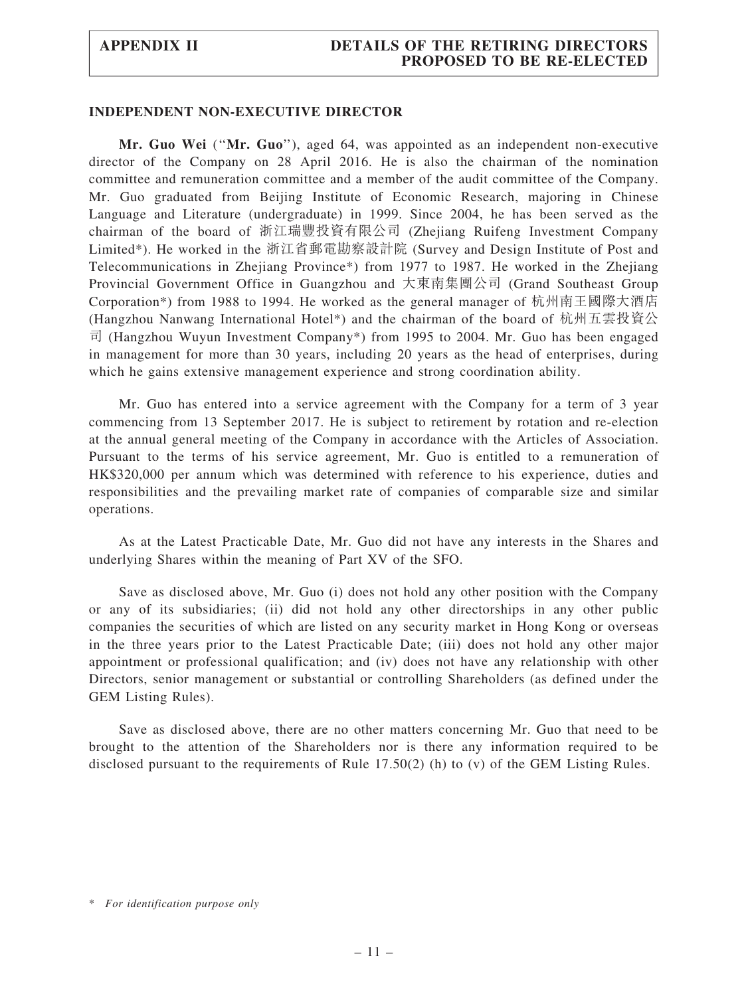#### APPENDIX II DETAILS OF THE RETIRING DIRECTORS PROPOSED TO BE RE-ELECTED

#### INDEPENDENT NON-EXECUTIVE DIRECTOR

Mr. Guo Wei (''Mr. Guo''), aged 64, was appointed as an independent non-executive director of the Company on 28 April 2016. He is also the chairman of the nomination committee and remuneration committee and a member of the audit committee of the Company. Mr. Guo graduated from Beijing Institute of Economic Research, majoring in Chinese Language and Literature (undergraduate) in 1999. Since 2004, he has been served as the chairman of the board of 浙江瑞豐投資有限公司 (Zhejiang Ruifeng Investment Company Limited\*). He worked in the 浙江省郵電勘察設計院 (Survey and Design Institute of Post and Telecommunications in Zhejiang Province\*) from 1977 to 1987. He worked in the Zhejiang Provincial Government Office in Guangzhou and 大東南集團公司 (Grand Southeast Group Corporation\*) from 1988 to 1994. He worked as the general manager of 杭州南王國際大酒店 (Hangzhou Nanwang International Hotel\*) and the chairman of the board of 杭州五雲投資公 司 (Hangzhou Wuyun Investment Company\*) from 1995 to 2004. Mr. Guo has been engaged in management for more than 30 years, including 20 years as the head of enterprises, during which he gains extensive management experience and strong coordination ability.

Mr. Guo has entered into a service agreement with the Company for a term of 3 year commencing from 13 September 2017. He is subject to retirement by rotation and re-election at the annual general meeting of the Company in accordance with the Articles of Association. Pursuant to the terms of his service agreement, Mr. Guo is entitled to a remuneration of HK\$320,000 per annum which was determined with reference to his experience, duties and responsibilities and the prevailing market rate of companies of comparable size and similar operations.

As at the Latest Practicable Date, Mr. Guo did not have any interests in the Shares and underlying Shares within the meaning of Part XV of the SFO.

Save as disclosed above, Mr. Guo (i) does not hold any other position with the Company or any of its subsidiaries; (ii) did not hold any other directorships in any other public companies the securities of which are listed on any security market in Hong Kong or overseas in the three years prior to the Latest Practicable Date; (iii) does not hold any other major appointment or professional qualification; and (iv) does not have any relationship with other Directors, senior management or substantial or controlling Shareholders (as defined under the GEM Listing Rules).

Save as disclosed above, there are no other matters concerning Mr. Guo that need to be brought to the attention of the Shareholders nor is there any information required to be disclosed pursuant to the requirements of Rule 17.50(2) (h) to (v) of the GEM Listing Rules.

<sup>\*</sup> For identification purpose only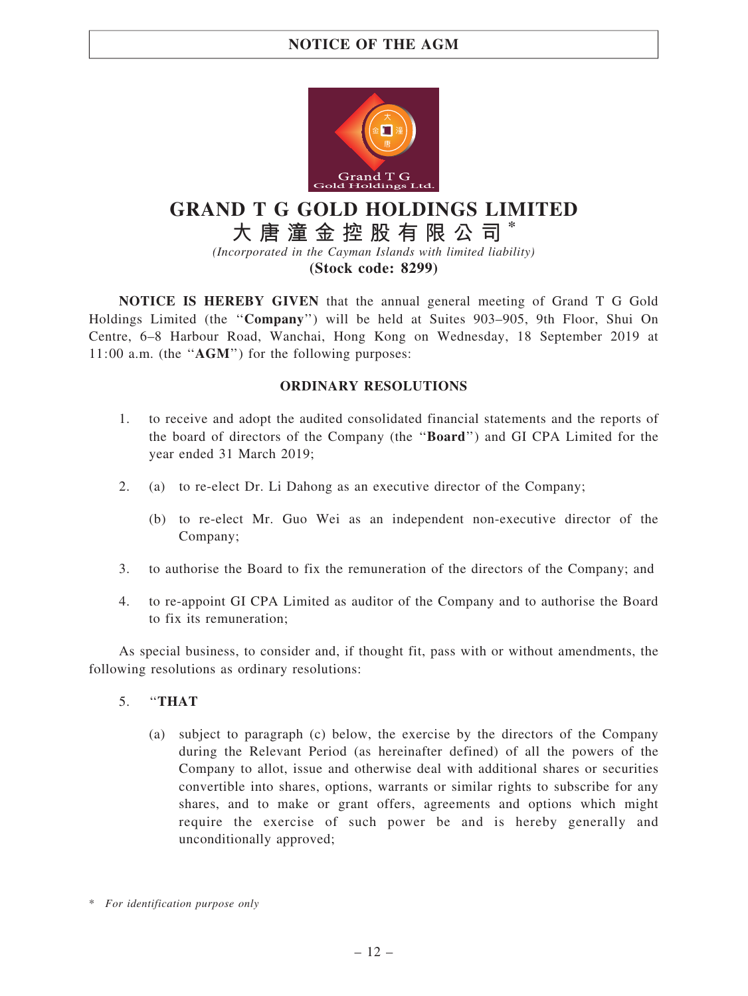

# GRAND T G GOLD HOLDINGS LIMITED

大 唐 潼 金 控 股 有 限 公 司 \*

(Incorporated in the Cayman Islands with limited liability)

(Stock code: 8299)

NOTICE IS HEREBY GIVEN that the annual general meeting of Grand T G Gold Holdings Limited (the ''Company'') will be held at Suites 903–905, 9th Floor, Shui On Centre, 6–8 Harbour Road, Wanchai, Hong Kong on Wednesday, 18 September 2019 at 11:00 a.m. (the ''AGM'') for the following purposes:

### ORDINARY RESOLUTIONS

- 1. to receive and adopt the audited consolidated financial statements and the reports of the board of directors of the Company (the ''Board'') and GI CPA Limited for the year ended 31 March 2019;
- 2. (a) to re-elect Dr. Li Dahong as an executive director of the Company;
	- (b) to re-elect Mr. Guo Wei as an independent non-executive director of the Company;
- 3. to authorise the Board to fix the remuneration of the directors of the Company; and
- 4. to re-appoint GI CPA Limited as auditor of the Company and to authorise the Board to fix its remuneration;

As special business, to consider and, if thought fit, pass with or without amendments, the following resolutions as ordinary resolutions:

- 5. ''THAT
	- (a) subject to paragraph (c) below, the exercise by the directors of the Company during the Relevant Period (as hereinafter defined) of all the powers of the Company to allot, issue and otherwise deal with additional shares or securities convertible into shares, options, warrants or similar rights to subscribe for any shares, and to make or grant offers, agreements and options which might require the exercise of such power be and is hereby generally and unconditionally approved;

<sup>\*</sup> For identification purpose only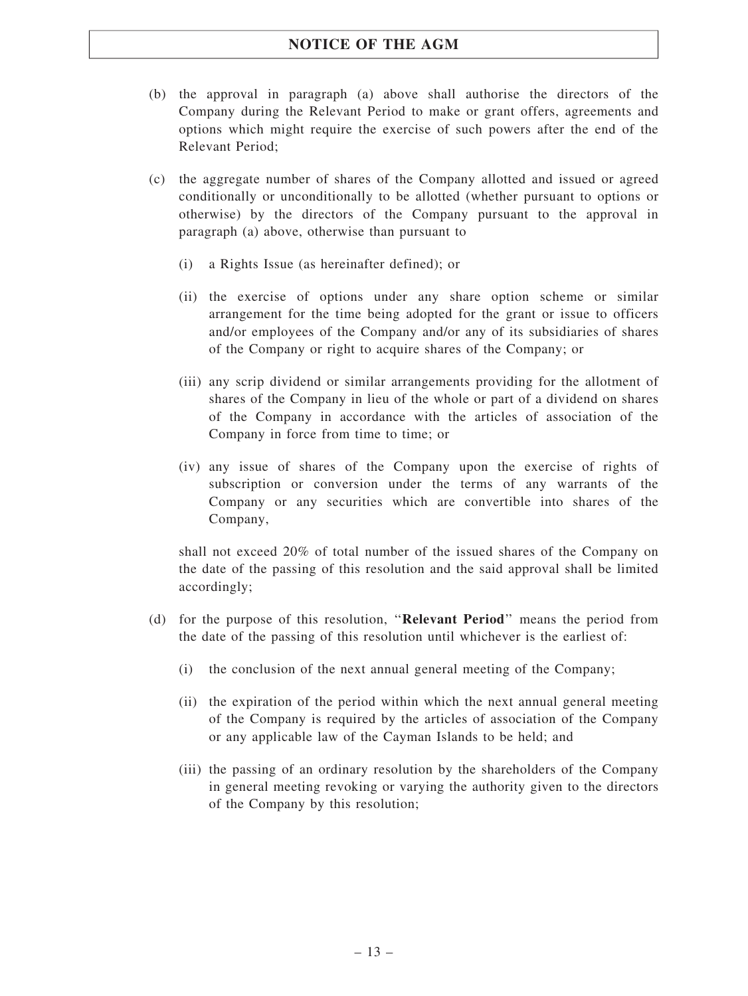- (b) the approval in paragraph (a) above shall authorise the directors of the Company during the Relevant Period to make or grant offers, agreements and options which might require the exercise of such powers after the end of the Relevant Period;
- (c) the aggregate number of shares of the Company allotted and issued or agreed conditionally or unconditionally to be allotted (whether pursuant to options or otherwise) by the directors of the Company pursuant to the approval in paragraph (a) above, otherwise than pursuant to
	- (i) a Rights Issue (as hereinafter defined); or
	- (ii) the exercise of options under any share option scheme or similar arrangement for the time being adopted for the grant or issue to officers and/or employees of the Company and/or any of its subsidiaries of shares of the Company or right to acquire shares of the Company; or
	- (iii) any scrip dividend or similar arrangements providing for the allotment of shares of the Company in lieu of the whole or part of a dividend on shares of the Company in accordance with the articles of association of the Company in force from time to time; or
	- (iv) any issue of shares of the Company upon the exercise of rights of subscription or conversion under the terms of any warrants of the Company or any securities which are convertible into shares of the Company,

shall not exceed 20% of total number of the issued shares of the Company on the date of the passing of this resolution and the said approval shall be limited accordingly;

- (d) for the purpose of this resolution, ''Relevant Period'' means the period from the date of the passing of this resolution until whichever is the earliest of:
	- (i) the conclusion of the next annual general meeting of the Company;
	- (ii) the expiration of the period within which the next annual general meeting of the Company is required by the articles of association of the Company or any applicable law of the Cayman Islands to be held; and
	- (iii) the passing of an ordinary resolution by the shareholders of the Company in general meeting revoking or varying the authority given to the directors of the Company by this resolution;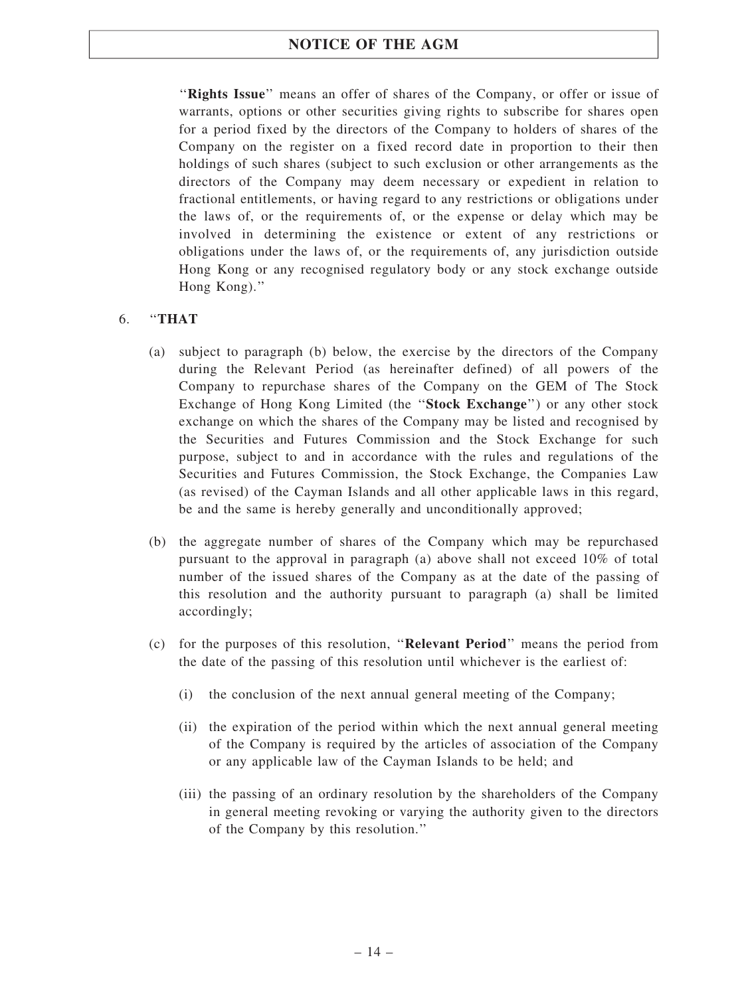"Rights Issue" means an offer of shares of the Company, or offer or issue of warrants, options or other securities giving rights to subscribe for shares open for a period fixed by the directors of the Company to holders of shares of the Company on the register on a fixed record date in proportion to their then holdings of such shares (subject to such exclusion or other arrangements as the directors of the Company may deem necessary or expedient in relation to fractional entitlements, or having regard to any restrictions or obligations under the laws of, or the requirements of, or the expense or delay which may be involved in determining the existence or extent of any restrictions or obligations under the laws of, or the requirements of, any jurisdiction outside Hong Kong or any recognised regulatory body or any stock exchange outside Hong Kong).''

### 6. ''THAT

- (a) subject to paragraph (b) below, the exercise by the directors of the Company during the Relevant Period (as hereinafter defined) of all powers of the Company to repurchase shares of the Company on the GEM of The Stock Exchange of Hong Kong Limited (the "Stock Exchange") or any other stock exchange on which the shares of the Company may be listed and recognised by the Securities and Futures Commission and the Stock Exchange for such purpose, subject to and in accordance with the rules and regulations of the Securities and Futures Commission, the Stock Exchange, the Companies Law (as revised) of the Cayman Islands and all other applicable laws in this regard, be and the same is hereby generally and unconditionally approved;
- (b) the aggregate number of shares of the Company which may be repurchased pursuant to the approval in paragraph (a) above shall not exceed 10% of total number of the issued shares of the Company as at the date of the passing of this resolution and the authority pursuant to paragraph (a) shall be limited accordingly;
- (c) for the purposes of this resolution, ''Relevant Period'' means the period from the date of the passing of this resolution until whichever is the earliest of:
	- (i) the conclusion of the next annual general meeting of the Company;
	- (ii) the expiration of the period within which the next annual general meeting of the Company is required by the articles of association of the Company or any applicable law of the Cayman Islands to be held; and
	- (iii) the passing of an ordinary resolution by the shareholders of the Company in general meeting revoking or varying the authority given to the directors of the Company by this resolution.''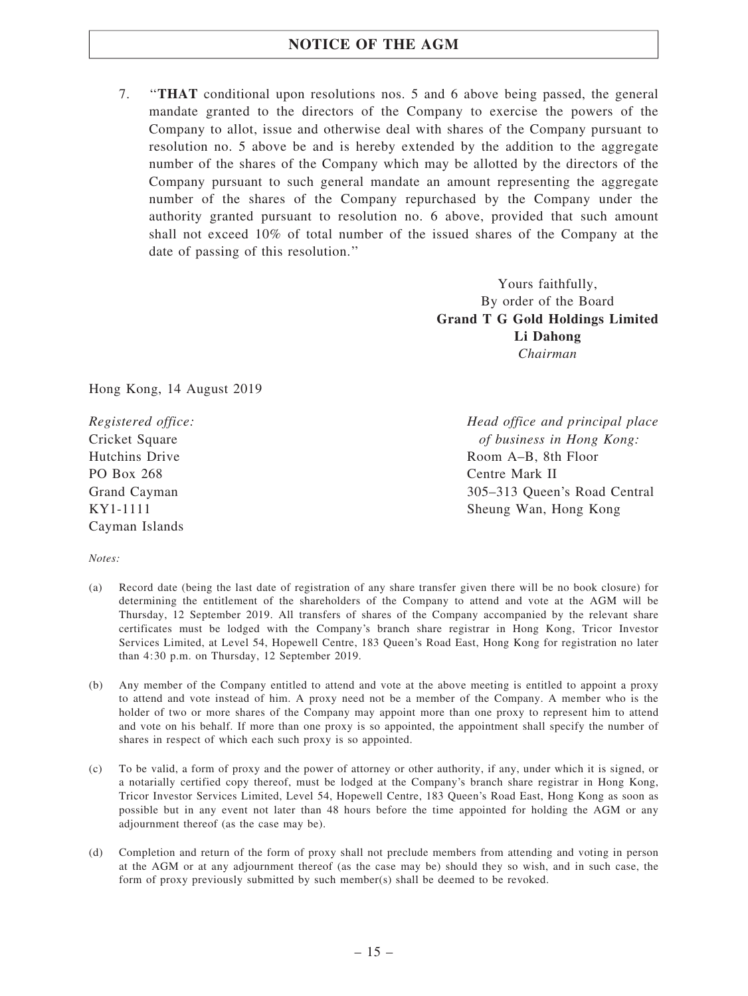7. ''THAT conditional upon resolutions nos. 5 and 6 above being passed, the general mandate granted to the directors of the Company to exercise the powers of the Company to allot, issue and otherwise deal with shares of the Company pursuant to resolution no. 5 above be and is hereby extended by the addition to the aggregate number of the shares of the Company which may be allotted by the directors of the Company pursuant to such general mandate an amount representing the aggregate number of the shares of the Company repurchased by the Company under the authority granted pursuant to resolution no. 6 above, provided that such amount shall not exceed 10% of total number of the issued shares of the Company at the date of passing of this resolution.''

> Yours faithfully, By order of the Board Grand T G Gold Holdings Limited Li Dahong Chairman

Hong Kong, 14 August 2019

Registered office: Cricket Square Hutchins Drive PO Box 268 Grand Cayman KY1-1111 Cayman Islands

Head office and principal place of business in Hong Kong: Room A–B, 8th Floor Centre Mark II 305–313 Queen's Road Central Sheung Wan, Hong Kong

Notes:

- (a) Record date (being the last date of registration of any share transfer given there will be no book closure) for determining the entitlement of the shareholders of the Company to attend and vote at the AGM will be Thursday, 12 September 2019. All transfers of shares of the Company accompanied by the relevant share certificates must be lodged with the Company's branch share registrar in Hong Kong, Tricor Investor Services Limited, at Level 54, Hopewell Centre, 183 Queen's Road East, Hong Kong for registration no later than 4:30 p.m. on Thursday, 12 September 2019.
- (b) Any member of the Company entitled to attend and vote at the above meeting is entitled to appoint a proxy to attend and vote instead of him. A proxy need not be a member of the Company. A member who is the holder of two or more shares of the Company may appoint more than one proxy to represent him to attend and vote on his behalf. If more than one proxy is so appointed, the appointment shall specify the number of shares in respect of which each such proxy is so appointed.
- (c) To be valid, a form of proxy and the power of attorney or other authority, if any, under which it is signed, or a notarially certified copy thereof, must be lodged at the Company's branch share registrar in Hong Kong, Tricor Investor Services Limited, Level 54, Hopewell Centre, 183 Queen's Road East, Hong Kong as soon as possible but in any event not later than 48 hours before the time appointed for holding the AGM or any adjournment thereof (as the case may be).
- (d) Completion and return of the form of proxy shall not preclude members from attending and voting in person at the AGM or at any adjournment thereof (as the case may be) should they so wish, and in such case, the form of proxy previously submitted by such member(s) shall be deemed to be revoked.